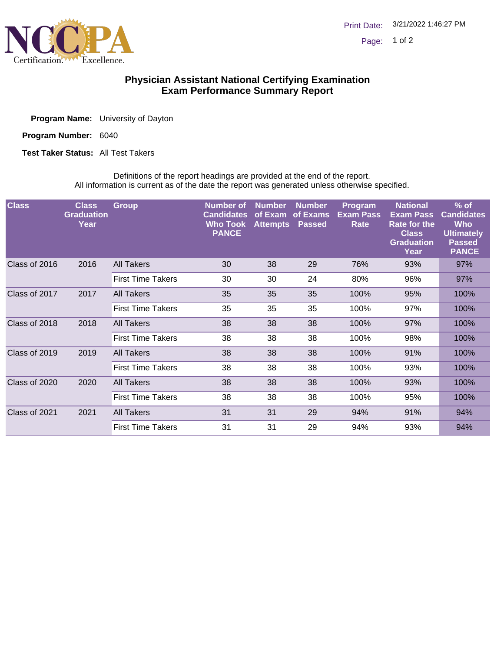

## **Physician Assistant National Certifying Examination Exam Performance Summary Report**

| <b>Program Name:</b> University of Dayton |
|-------------------------------------------|
|                                           |

Program Number: 6040

**Test Taker Status: All Test Takers** 

Definitions of the report headings are provided at the end of the report. All information is current as of the date the report was generated unless otherwise specified.

| <b>Class</b>  | <b>Class</b><br><b>Graduation</b><br>Year | <b>Group</b>             | Number of<br><b>Candidates</b><br><b>Who Took</b><br><b>PANCE</b> | <b>Number</b><br>of Exam<br><b>Attempts</b> | <b>Number</b><br>of Exams<br><b>Passed</b> | Program<br><b>Exam Pass</b><br>Rate | <b>National</b><br><b>Exam Pass</b><br><b>Rate for the</b><br><b>Class</b><br><b>Graduation</b><br>Year | $%$ of<br><b>Candidates</b><br><b>Who</b><br><b>Ultimately</b><br><b>Passed</b><br><b>PANCE</b> |
|---------------|-------------------------------------------|--------------------------|-------------------------------------------------------------------|---------------------------------------------|--------------------------------------------|-------------------------------------|---------------------------------------------------------------------------------------------------------|-------------------------------------------------------------------------------------------------|
| Class of 2016 | 2016                                      | All Takers               | 30                                                                | 38                                          | 29                                         | 76%                                 | 93%                                                                                                     | 97%                                                                                             |
|               |                                           | <b>First Time Takers</b> | 30                                                                | 30                                          | 24                                         | 80%                                 | 96%                                                                                                     | 97%                                                                                             |
| Class of 2017 | 2017                                      | All Takers               | 35                                                                | 35                                          | 35                                         | 100%                                | 95%                                                                                                     | 100%                                                                                            |
|               |                                           | <b>First Time Takers</b> | 35                                                                | 35                                          | 35                                         | 100%                                | 97%                                                                                                     | 100%                                                                                            |
| Class of 2018 | 2018                                      | All Takers               | 38                                                                | 38                                          | 38                                         | 100%                                | 97%                                                                                                     | 100%                                                                                            |
|               |                                           | <b>First Time Takers</b> | 38                                                                | 38                                          | 38                                         | 100%                                | 98%                                                                                                     | 100%                                                                                            |
| Class of 2019 | 2019                                      | All Takers               | 38                                                                | 38                                          | 38                                         | 100%                                | 91%                                                                                                     | 100%                                                                                            |
|               |                                           | <b>First Time Takers</b> | 38                                                                | 38                                          | 38                                         | 100%                                | 93%                                                                                                     | 100%                                                                                            |
| Class of 2020 | 2020                                      | <b>All Takers</b>        | 38                                                                | 38                                          | 38                                         | 100%                                | 93%                                                                                                     | 100%                                                                                            |
|               |                                           | <b>First Time Takers</b> | 38                                                                | 38                                          | 38                                         | 100%                                | 95%                                                                                                     | 100%                                                                                            |
| Class of 2021 | 2021                                      | <b>All Takers</b>        | 31                                                                | 31                                          | 29                                         | 94%                                 | 91%                                                                                                     | 94%                                                                                             |
|               |                                           | <b>First Time Takers</b> | 31                                                                | 31                                          | 29                                         | 94%                                 | 93%                                                                                                     | 94%                                                                                             |